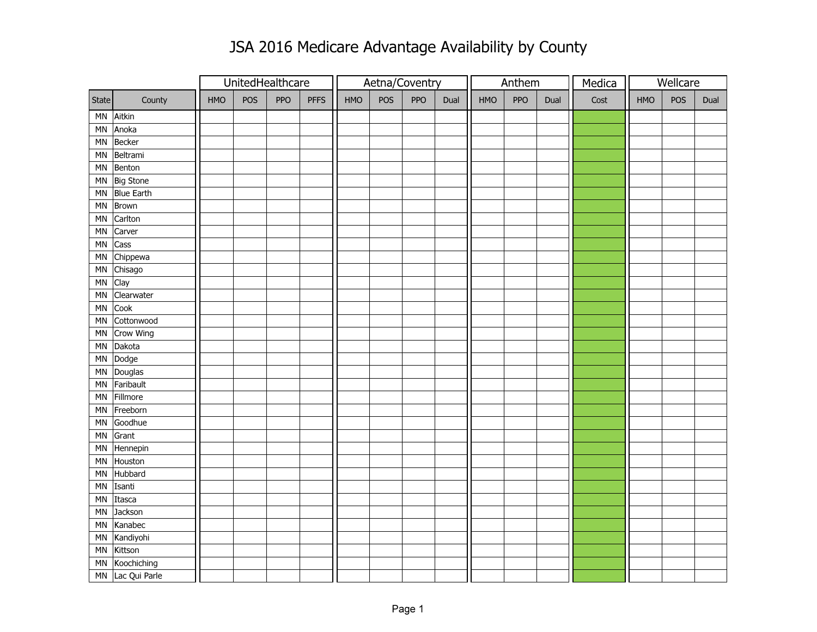## JSA 2016 Medicare Advantage Availability by County

|                        |                   |     |     | UnitedHealthcare |             |     |            | Aetna/Coventry |      |            | Anthem     |      | Wellcare<br>Medica |     |            |      |
|------------------------|-------------------|-----|-----|------------------|-------------|-----|------------|----------------|------|------------|------------|------|--------------------|-----|------------|------|
| State                  | County            | HMO | POS | PPO              | <b>PFFS</b> | HMO | <b>POS</b> | PPO            | Dual | <b>HMO</b> | <b>PPO</b> | Dual | Cost               | HMO | <b>POS</b> | Dual |
| MN                     | Aitkin            |     |     |                  |             |     |            |                |      |            |            |      |                    |     |            |      |
| MN                     | Anoka             |     |     |                  |             |     |            |                |      |            |            |      |                    |     |            |      |
| MN                     | Becker            |     |     |                  |             |     |            |                |      |            |            |      |                    |     |            |      |
| <b>MN</b>              | Beltrami          |     |     |                  |             |     |            |                |      |            |            |      |                    |     |            |      |
| MN                     | Benton            |     |     |                  |             |     |            |                |      |            |            |      |                    |     |            |      |
| MN                     | <b>Big Stone</b>  |     |     |                  |             |     |            |                |      |            |            |      |                    |     |            |      |
| MN                     | <b>Blue Earth</b> |     |     |                  |             |     |            |                |      |            |            |      |                    |     |            |      |
| <b>MN</b>              | Brown             |     |     |                  |             |     |            |                |      |            |            |      |                    |     |            |      |
| MN                     | Carlton           |     |     |                  |             |     |            |                |      |            |            |      |                    |     |            |      |
| ΜN                     | Carver            |     |     |                  |             |     |            |                |      |            |            |      |                    |     |            |      |
| MN                     | Cass              |     |     |                  |             |     |            |                |      |            |            |      |                    |     |            |      |
| ΜN                     | Chippewa          |     |     |                  |             |     |            |                |      |            |            |      |                    |     |            |      |
| MN                     | Chisago           |     |     |                  |             |     |            |                |      |            |            |      |                    |     |            |      |
| MN                     | Clay              |     |     |                  |             |     |            |                |      |            |            |      |                    |     |            |      |
| <b>MN</b>              | Clearwater        |     |     |                  |             |     |            |                |      |            |            |      |                    |     |            |      |
| <b>MN</b>              | Cook              |     |     |                  |             |     |            |                |      |            |            |      |                    |     |            |      |
| <b>MN</b>              | Cottonwood        |     |     |                  |             |     |            |                |      |            |            |      |                    |     |            |      |
| MN                     | Crow Wing         |     |     |                  |             |     |            |                |      |            |            |      |                    |     |            |      |
| MN                     | Dakota            |     |     |                  |             |     |            |                |      |            |            |      |                    |     |            |      |
| ΜN                     | Dodge             |     |     |                  |             |     |            |                |      |            |            |      |                    |     |            |      |
| MN                     | Douglas           |     |     |                  |             |     |            |                |      |            |            |      |                    |     |            |      |
| <b>MN</b>              | Faribault         |     |     |                  |             |     |            |                |      |            |            |      |                    |     |            |      |
| <b>MN</b>              | Fillmore          |     |     |                  |             |     |            |                |      |            |            |      |                    |     |            |      |
| MN                     | Freeborn          |     |     |                  |             |     |            |                |      |            |            |      |                    |     |            |      |
| <b>MN</b>              | Goodhue           |     |     |                  |             |     |            |                |      |            |            |      |                    |     |            |      |
| MN                     | Grant             |     |     |                  |             |     |            |                |      |            |            |      |                    |     |            |      |
| ΜN                     | Hennepin          |     |     |                  |             |     |            |                |      |            |            |      |                    |     |            |      |
| MN                     | Houston           |     |     |                  |             |     |            |                |      |            |            |      |                    |     |            |      |
| MN                     | Hubbard           |     |     |                  |             |     |            |                |      |            |            |      |                    |     |            |      |
| <b>MN</b>              | Isanti            |     |     |                  |             |     |            |                |      |            |            |      |                    |     |            |      |
| <b>MN</b>              | Itasca            |     |     |                  |             |     |            |                |      |            |            |      |                    |     |            |      |
| <b>MN</b>              | Jackson           |     |     |                  |             |     |            |                |      |            |            |      |                    |     |            |      |
| <b>MN</b>              | Kanabec           |     |     |                  |             |     |            |                |      |            |            |      |                    |     |            |      |
| MN                     | Kandiyohi         |     |     |                  |             |     |            |                |      |            |            |      |                    |     |            |      |
| ΜN                     | Kittson           |     |     |                  |             |     |            |                |      |            |            |      |                    |     |            |      |
| ΜN                     | Koochiching       |     |     |                  |             |     |            |                |      |            |            |      |                    |     |            |      |
| $\mathsf{M}\mathsf{N}$ | Lac Qui Parle     |     |     |                  |             |     |            |                |      |            |            |      |                    |     |            |      |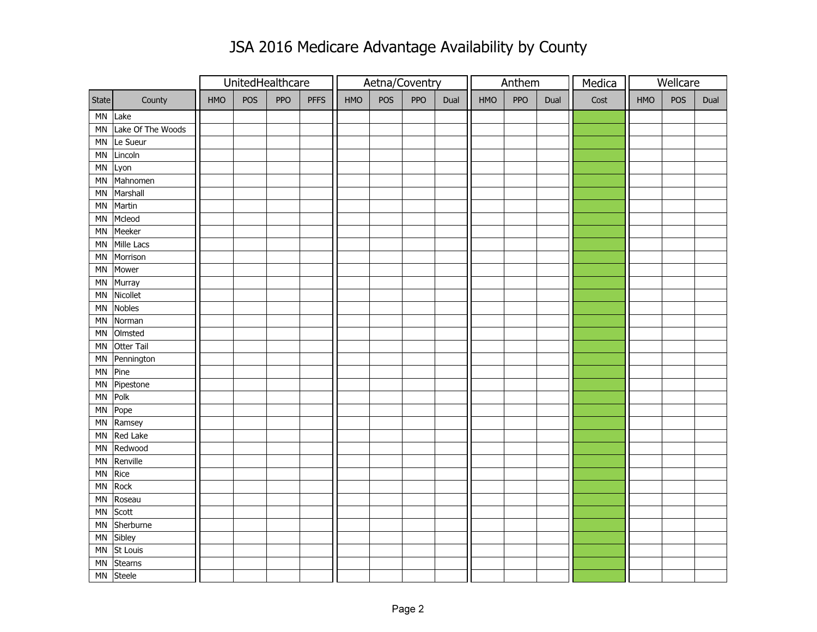## JSA 2016 Medicare Advantage Availability by County

|            |                   |     |     | UnitedHealthcare |             |     |     | Aetna/Coventry |      |     | Anthem     |      | Wellcare<br>Medica |     |            |      |
|------------|-------------------|-----|-----|------------------|-------------|-----|-----|----------------|------|-----|------------|------|--------------------|-----|------------|------|
| State      | County            | HMO | POS | PPO              | <b>PFFS</b> | HMO | POS | PPO            | Dual | HMO | <b>PPO</b> | Dual | Cost               | HMO | <b>POS</b> | Dual |
| MN         | Lake              |     |     |                  |             |     |     |                |      |     |            |      |                    |     |            |      |
| MN         | Lake Of The Woods |     |     |                  |             |     |     |                |      |     |            |      |                    |     |            |      |
| ${\sf MN}$ | Le Sueur          |     |     |                  |             |     |     |                |      |     |            |      |                    |     |            |      |
| MN         | Lincoln           |     |     |                  |             |     |     |                |      |     |            |      |                    |     |            |      |
| ΜN         | Lyon              |     |     |                  |             |     |     |                |      |     |            |      |                    |     |            |      |
| MN         | Mahnomen          |     |     |                  |             |     |     |                |      |     |            |      |                    |     |            |      |
| MN         | Marshall          |     |     |                  |             |     |     |                |      |     |            |      |                    |     |            |      |
| ΜN         | Martin            |     |     |                  |             |     |     |                |      |     |            |      |                    |     |            |      |
| <b>MN</b>  | Mcleod            |     |     |                  |             |     |     |                |      |     |            |      |                    |     |            |      |
| MN         | Meeker            |     |     |                  |             |     |     |                |      |     |            |      |                    |     |            |      |
| MN         | Mille Lacs        |     |     |                  |             |     |     |                |      |     |            |      |                    |     |            |      |
| MN         | Morrison          |     |     |                  |             |     |     |                |      |     |            |      |                    |     |            |      |
| MN         | Mower             |     |     |                  |             |     |     |                |      |     |            |      |                    |     |            |      |
| MN         | Murray            |     |     |                  |             |     |     |                |      |     |            |      |                    |     |            |      |
| <b>MN</b>  | Nicollet          |     |     |                  |             |     |     |                |      |     |            |      |                    |     |            |      |
| <b>MN</b>  | <b>Nobles</b>     |     |     |                  |             |     |     |                |      |     |            |      |                    |     |            |      |
| <b>MN</b>  | Norman            |     |     |                  |             |     |     |                |      |     |            |      |                    |     |            |      |
| MN         | Olmsted           |     |     |                  |             |     |     |                |      |     |            |      |                    |     |            |      |
| ΜN         | Otter Tail        |     |     |                  |             |     |     |                |      |     |            |      |                    |     |            |      |
| MN         | Pennington        |     |     |                  |             |     |     |                |      |     |            |      |                    |     |            |      |
| MN         | Pine              |     |     |                  |             |     |     |                |      |     |            |      |                    |     |            |      |
| MN         | Pipestone         |     |     |                  |             |     |     |                |      |     |            |      |                    |     |            |      |
| MN         | Polk              |     |     |                  |             |     |     |                |      |     |            |      |                    |     |            |      |
| MN         | Pope              |     |     |                  |             |     |     |                |      |     |            |      |                    |     |            |      |
| MN         | Ramsey            |     |     |                  |             |     |     |                |      |     |            |      |                    |     |            |      |
| MN         | Red Lake          |     |     |                  |             |     |     |                |      |     |            |      |                    |     |            |      |
| ΜN         | Redwood           |     |     |                  |             |     |     |                |      |     |            |      |                    |     |            |      |
| MN         | Renville          |     |     |                  |             |     |     |                |      |     |            |      |                    |     |            |      |
| ΜN         | Rice              |     |     |                  |             |     |     |                |      |     |            |      |                    |     |            |      |
| MN         | Rock              |     |     |                  |             |     |     |                |      |     |            |      |                    |     |            |      |
| <b>MN</b>  | Roseau            |     |     |                  |             |     |     |                |      |     |            |      |                    |     |            |      |
| MN         | Scott             |     |     |                  |             |     |     |                |      |     |            |      |                    |     |            |      |
| <b>MN</b>  | Sherburne         |     |     |                  |             |     |     |                |      |     |            |      |                    |     |            |      |
| MN         | Sibley            |     |     |                  |             |     |     |                |      |     |            |      |                    |     |            |      |
| ΜN         | St Louis          |     |     |                  |             |     |     |                |      |     |            |      |                    |     |            |      |
| ΜN         | <b>Stearns</b>    |     |     |                  |             |     |     |                |      |     |            |      |                    |     |            |      |
| MN         | Steele            |     |     |                  |             |     |     |                |      |     |            |      |                    |     |            |      |